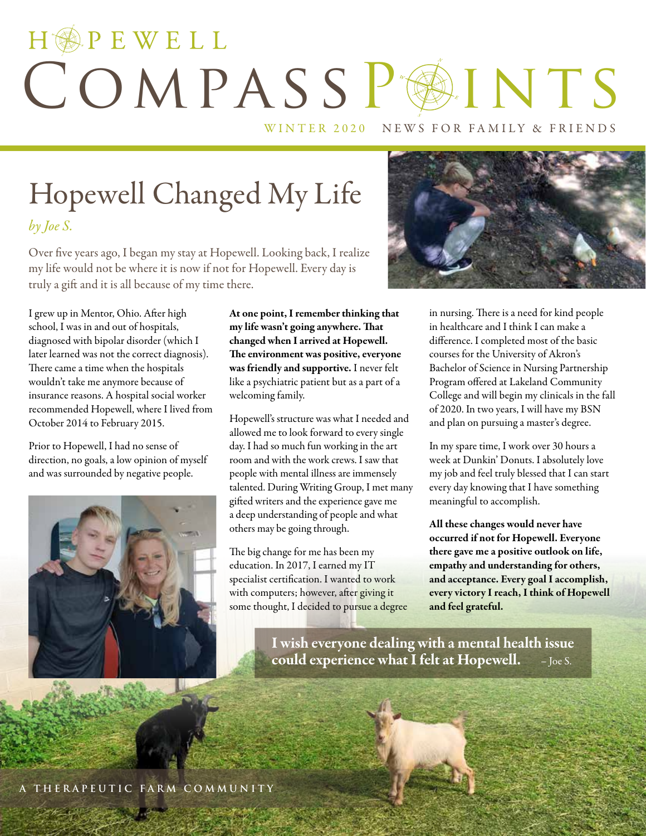# HOPEWELL COMPASSPAINTS

WINTER 2020 NEWS FOR FAMILY & FRIENDS

## Hopewell Changed My Life *by Joe S.*

Over five years ago, I began my stay at Hopewell. Looking back, I realize my life would not be where it is now if not for Hopewell. Every day is truly a gift and it is all because of my time there.

I grew up in Mentor, Ohio. After high school, I was in and out of hospitals, diagnosed with bipolar disorder (which I later learned was not the correct diagnosis). There came a time when the hospitals wouldn't take me anymore because of insurance reasons. A hospital social worker recommended Hopewell, where I lived from October 2014 to February 2015.

Prior to Hopewell, I had no sense of direction, no goals, a low opinion of myself and was surrounded by negative people.



At one point, I remember thinking that my life wasn't going anywhere. That changed when I arrived at Hopewell. The environment was positive, everyone was friendly and supportive. I never felt like a psychiatric patient but as a part of a welcoming family.

Hopewell's structure was what I needed and allowed me to look forward to every single day. I had so much fun working in the art room and with the work crews. I saw that people with mental illness are immensely talented. During Writing Group, I met many gifted writers and the experience gave me a deep understanding of people and what others may be going through.

The big change for me has been my education. In 2017, I earned my IT specialist certification. I wanted to work with computers; however, after giving it some thought, I decided to pursue a degree



in nursing. There is a need for kind people in healthcare and I think I can make a difference. I completed most of the basic courses for the University of Akron's Bachelor of Science in Nursing Partnership Program offered at Lakeland Community College and will begin my clinicals in the fall of 2020. In two years, I will have my BSN and plan on pursuing a master's degree.

In my spare time, I work over 30 hours a week at Dunkin' Donuts. I absolutely love my job and feel truly blessed that I can start every day knowing that I have something meaningful to accomplish.

All these changes would never have occurred if not for Hopewell. Everyone there gave me a positive outlook on life, empathy and understanding for others, and acceptance. Every goal I accomplish, every victory I reach, I think of Hopewell and feel grateful.

I wish everyone dealing with a mental health issue could experience what I felt at Hopewell. – Joe S.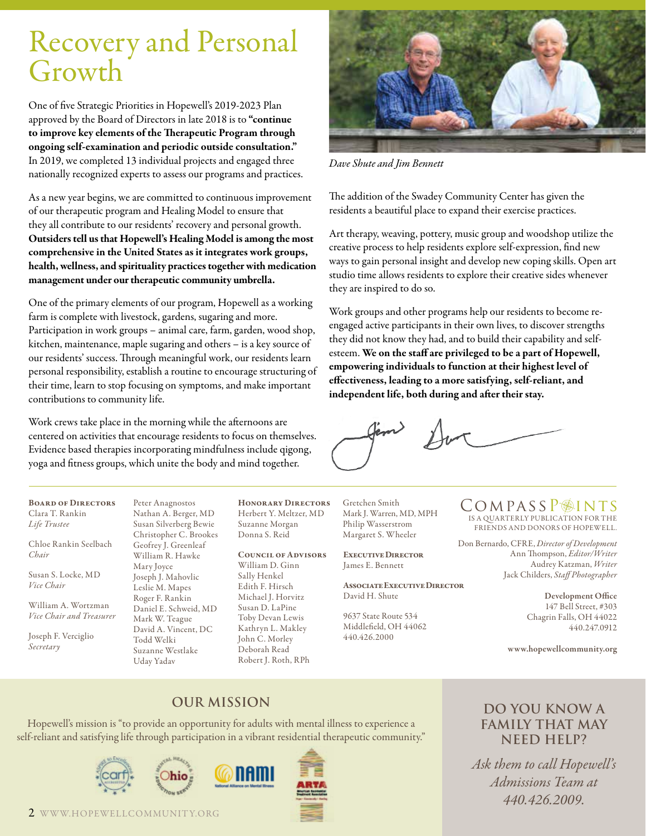## Recovery and Personal Growth

One of five Strategic Priorities in Hopewell's 2019-2023 Plan approved by the Board of Directors in late 2018 is to "continue to improve key elements of the Therapeutic Program through ongoing self-examination and periodic outside consultation." In 2019, we completed 13 individual projects and engaged three nationally recognized experts to assess our programs and practices.

As a new year begins, we are committed to continuous improvement of our therapeutic program and Healing Model to ensure that they all contribute to our residents' recovery and personal growth. Outsiders tell us that Hopewell's Healing Model is among the most comprehensive in the United States as it integrates work groups, health, wellness, and spirituality practices together with medication management under our therapeutic community umbrella.

One of the primary elements of our program, Hopewell as a working farm is complete with livestock, gardens, sugaring and more. Participation in work groups – animal care, farm, garden, wood shop, kitchen, maintenance, maple sugaring and others – is a key source of our residents' success. Through meaningful work, our residents learn personal responsibility, establish a routine to encourage structuring of their time, learn to stop focusing on symptoms, and make important contributions to community life.

Work crews take place in the morning while the afternoons are centered on activities that encourage residents to focus on themselves. Evidence based therapies incorporating mindfulness include qigong, yoga and fitness groups, which unite the body and mind together.



*Dave Shute and Jim Bennett*

The addition of the Swadey Community Center has given the residents a beautiful place to expand their exercise practices.

Art therapy, weaving, pottery, music group and woodshop utilize the creative process to help residents explore self-expression, find new ways to gain personal insight and develop new coping skills. Open art studio time allows residents to explore their creative sides whenever they are inspired to do so.

Work groups and other programs help our residents to become reengaged active participants in their own lives, to discover strengths they did not know they had, and to build their capability and selfesteem. We on the staff are privileged to be a part of Hopewell, empowering individuals to function at their highest level of effectiveness, leading to a more satisfying, self-reliant, and independent life, both during and after their stay.

Board of Directors Clara T. Rankin *Life Trustee*

Chloe Rankin Seelbach *Chair*

Susan S. Locke, MD *Vice Chair*

William A. Wortzman *Vice Chair and Treasurer*

Joseph F. Verciglio *Secretary*

Peter Anagnostos Nathan A. Berger, MD Susan Silverberg Bewie Christopher C. Brookes Geofrey J. Greenleaf William R. Hawke Mary Joyce Joseph J. Mahovlic Leslie M. Mapes Roger F. Rankin Daniel E. Schweid, MD Mark W. Teague David A. Vincent, DC Todd Welki Suzanne Westlake Uday Yadav

Honorary Directors Herbert Y. Meltzer, MD Suzanne Morgan Donna S. Reid

#### Council of Advisors

William D. Ginn Sally Henkel Edith F. Hirsch Michael J. Horvitz Susan D. LaPine Toby Devan Lewis Kathryn L. Makley John C. Morley Deborah Read Robert J. Roth, RPh Gretchen Smith Mark J. Warren, MD, MPH Philip Wasserstrom Margaret S. Wheeler

Executive Director James E. Bennett

Associate Executive Director David H. Shute

9637 State Route 534 Middlefield, OH 44062 440.426.2000

## COMPASSP<sup>INTS</sup>

IS A QUARTERLY PUBLICATION FOR THE FRIENDS AND DONORS OF HOPEWELL.

Don Bernardo, CFRE, *Director of Development* Ann Thompson, *Editor/Writer* Audrey Katzman, *Writer*  Jack Childers, *Staff Photographer*

> Development Office 147 Bell Street, #303 Chagrin Falls, OH 44022 440.247.0912

www.hopewellcommunity.org

### **Our Mission**

Hopewell's mission is "to provide an opportunity for adults with mental illness to experience a self-reliant and satisfying life through participation in a vibrant residential therapeutic community."



#### 2 WWW.HOPEWELLCOMMUNIT Y.ORG

### **Do you know a family that may need help?**

*Ask them to call Hopewell's Admissions Team at 440.426.2009.*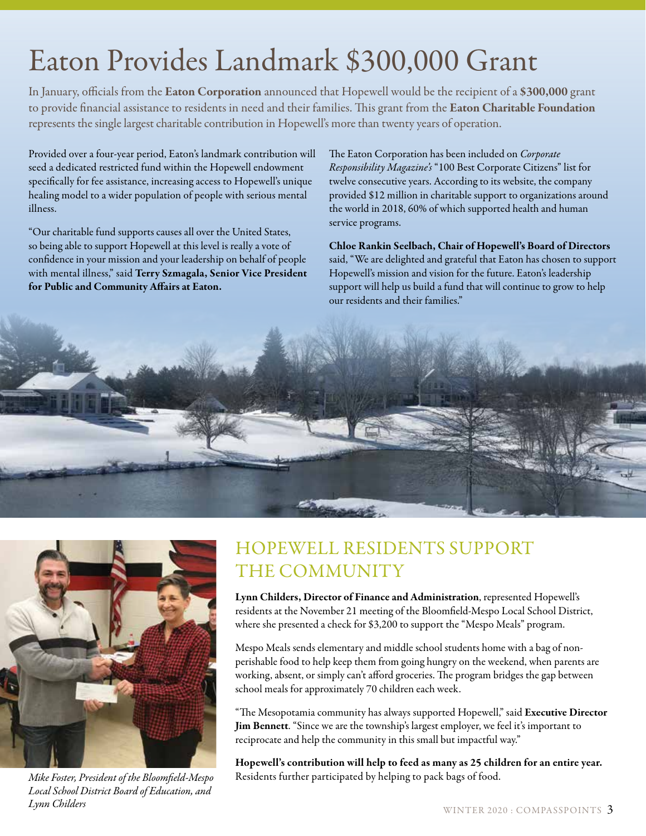## Eaton Provides Landmark \$300,000 Grant

In January, officials from the Eaton Corporation announced that Hopewell would be the recipient of a \$300,000 grant to provide financial assistance to residents in need and their families. This grant from the Eaton Charitable Foundation represents the single largest charitable contribution in Hopewell's more than twenty years of operation.

Provided over a four-year period, Eaton's landmark contribution will seed a dedicated restricted fund within the Hopewell endowment specifically for fee assistance, increasing access to Hopewell's unique healing model to a wider population of people with serious mental illness.

"Our charitable fund supports causes all over the United States, so being able to support Hopewell at this level is really a vote of confidence in your mission and your leadership on behalf of people with mental illness," said Terry Szmagala, Senior Vice President for Public and Community Affairs at Eaton.

The Eaton Corporation has been included on *Corporate Responsibility Magazine's* "100 Best Corporate Citizens" list for twelve consecutive years. According to its website, the company provided \$12 million in charitable support to organizations around the world in 2018, 60% of which supported health and human service programs.

Chloe Rankin Seelbach, Chair of Hopewell's Board of Directors said, "We are delighted and grateful that Eaton has chosen to support Hopewell's mission and vision for the future. Eaton's leadership support will help us build a fund that will continue to grow to help our residents and their families."





*Mike Foster, President of the Bloomfield-Mespo Local School District Board of Education, and Lynn Childers* WINTER 2020 : COMPASSPOINTS 3

## HOPEWELL RESIDENTS SUPPORT THE COMMUNITY

Lynn Childers, Director of Finance and Administration, represented Hopewell's residents at the November 21 meeting of the Bloomfield-Mespo Local School District, where she presented a check for \$3,200 to support the "Mespo Meals" program.

Mespo Meals sends elementary and middle school students home with a bag of nonperishable food to help keep them from going hungry on the weekend, when parents are working, absent, or simply can't afford groceries. The program bridges the gap between school meals for approximately 70 children each week.

"The Mesopotamia community has always supported Hopewell," said Executive Director Jim Bennett. "Since we are the township's largest employer, we feel it's important to reciprocate and help the community in this small but impactful way."

Hopewell's contribution will help to feed as many as 25 children for an entire year. Residents further participated by helping to pack bags of food.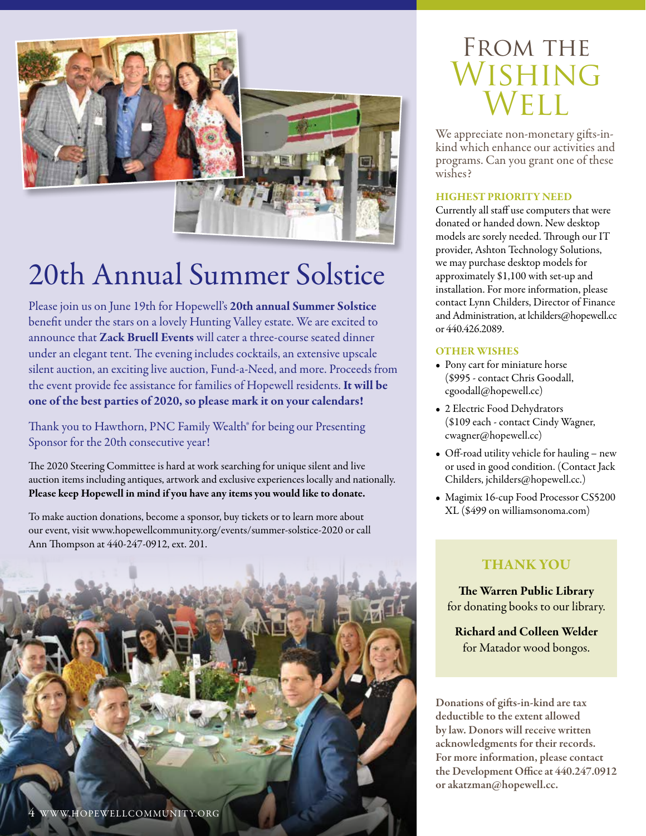

## 20th Annual Summer Solstice

Please join us on June 19th for Hopewell's 20th annual Summer Solstice benefit under the stars on a lovely Hunting Valley estate. We are excited to announce that Zack Bruell Events will cater a three-course seated dinner under an elegant tent. The evening includes cocktails, an extensive upscale silent auction, an exciting live auction, Fund-a-Need, and more. Proceeds from the event provide fee assistance for families of Hopewell residents. It will be one of the best parties of 2020, so please mark it on your calendars!

Thank you to Hawthorn, PNC Family Wealth® for being our Presenting Sponsor for the 20th consecutive year!

The 2020 Steering Committee is hard at work searching for unique silent and live auction items including antiques, artwork and exclusive experiences locally and nationally. Please keep Hopewell in mind if you have any items you would like to donate.

To make auction donations, become a sponsor, buy tickets or to learn more about our event, visit www.hopewellcommunity.org/events/summer-solstice-2020 or call Ann Thompson at 440-247-0912, ext. 201.



## FROM THE Wishing Well

We appreciate non-monetary gifts-inkind which enhance our activities and programs. Can you grant one of these wishes?

#### HIGHEST PRIORITY NEED

Currently all staff use computers that were donated or handed down. New desktop models are sorely needed. Through our IT provider, Ashton Technology Solutions, we may purchase desktop models for approximately \$1,100 with set-up and installation. For more information, please contact Lynn Childers, Director of Finance and Administration, at lchilders@hopewell.cc or 440.426.2089.

#### OTHER WISHES

- Pony cart for miniature horse (\$995 - contact Chris Goodall, cgoodall@hopewell.cc)
- 2 Electric Food Dehydrators (\$109 each - contact Cindy Wagner, cwagner@hopewell.cc)
- Off-road utility vehicle for hauling new or used in good condition. (Contact Jack Childers, jchilders@hopewell.cc.)
- Magimix 16-cup Food Processor CS5200 XL (\$499 on williamsonoma.com)

### THANK YOU

The Warren Public Library for donating books to our library.

Richard and Colleen Welder for Matador wood bongos.

Donations of gifts-in-kind are tax deductible to the extent allowed by law. Donors will receive written acknowledgments for their records. For more information, please contact the Development Office at 440.247.0912 or akatzman@hopewell.cc.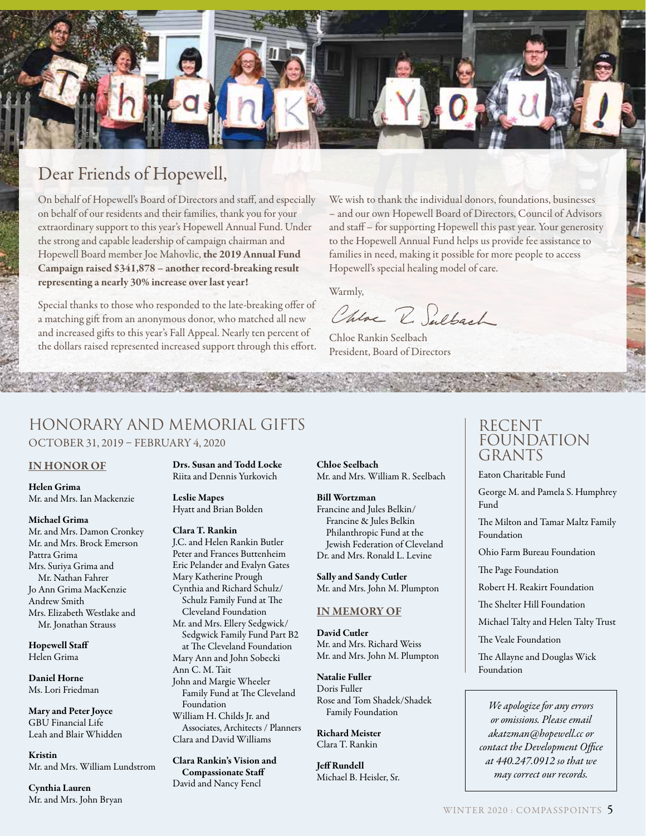

## Dear Friends of Hopewell,

On behalf of Hopewell's Board of Directors and staff, and especially on behalf of our residents and their families, thank you for your extraordinary support to this year's Hopewell Annual Fund. Under the strong and capable leadership of campaign chairman and Hopewell Board member Joe Mahovlic, the 2019 Annual Fund Campaign raised \$341,878 – another record-breaking result representing a nearly 30% increase over last year!

Special thanks to those who responded to the late-breaking offer of a matching gift from an anonymous donor, who matched all new and increased gifts to this year's Fall Appeal. Nearly ten percent of the dollars raised represented increased support through this effort. We wish to thank the individual donors, foundations, businesses – and our own Hopewell Board of Directors, Council of Advisors and staff – for supporting Hopewell this past year. Your generosity to the Hopewell Annual Fund helps us provide fee assistance to families in need, making it possible for more people to access Hopewell's special healing model of care.

Warmly,

Chloe R. Sulbach

Chloe Rankin Seelbach President, Board of Directors

### Honorary and Memorial Gifts OCTOBER 31, 2019 – FEBRUARY 4, 2020

#### IN HONOR OF

Helen Grima Mr. and Mrs. Ian Mackenzie

#### Michael Grima

Mr. and Mrs. Damon Cronkey Mr. and Mrs. Brock Emerson Pattra Grima Mrs. Suriya Grima and Mr. Nathan Fahrer Jo Ann Grima MacKenzie Andrew Smith Mrs. Elizabeth Westlake and Mr. Jonathan Strauss

#### Hopewell Staff Helen Grima

Daniel Horne Ms. Lori Friedman

Mary and Peter Joyce GBU Financial Life Leah and Blair Whidden

Kristin Mr. and Mrs. William Lundstrom

Cynthia Lauren Mr. and Mrs. John Bryan Drs. Susan and Todd Locke Riita and Dennis Yurkovich

#### Leslie Mapes Hyatt and Brian Bolden

#### Clara T. Rankin

J.C. and Helen Rankin Butler Peter and Frances Buttenheim Eric Pelander and Evalyn Gates Mary Katherine Prough Cynthia and Richard Schulz/ Schulz Family Fund at The Cleveland Foundation Mr. and Mrs. Ellery Sedgwick/ Sedgwick Family Fund Part B2 at The Cleveland Foundation Mary Ann and John Sobecki Ann C. M. Tait John and Margie Wheeler Family Fund at The Cleveland Foundation William H. Childs Jr. and Associates, Architects / Planners Clara and David Williams

Clara Rankin's Vision and Compassionate Staff David and Nancy Fencl

Chloe Seelbach Mr. and Mrs. William R. Seelbach

#### Bill Wortzman

Francine and Jules Belkin/ Francine & Jules Belkin Philanthropic Fund at the Jewish Federation of Cleveland Dr. and Mrs. Ronald L. Levine

Sally and Sandy Cutler Mr. and Mrs. John M. Plumpton

#### IN MEMORY OF

David Cutler Mr. and Mrs. Richard Weiss Mr. and Mrs. John M. Plumpton

Natalie Fuller Doris Fuller Rose and Tom Shadek/Shadek Family Foundation

Richard Meister Clara T. Rankin

Jeff Rundell Michael B. Heisler, Sr.

### RECENT FOUNDATION GRANTS

Eaton Charitable Fund

George M. and Pamela S. Humphrey Fund

The Milton and Tamar Maltz Family Foundation

Ohio Farm Bureau Foundation

The Page Foundation

Robert H. Reakirt Foundation

The Shelter Hill Foundation

Michael Talty and Helen Talty Trust

The Veale Foundation

The Allayne and Douglas Wick Foundation

*We apologize for any errors or omissions. Please email akatzman@hopewell.cc or contact the Development Office at 440.247.0912 so that we may correct our records.*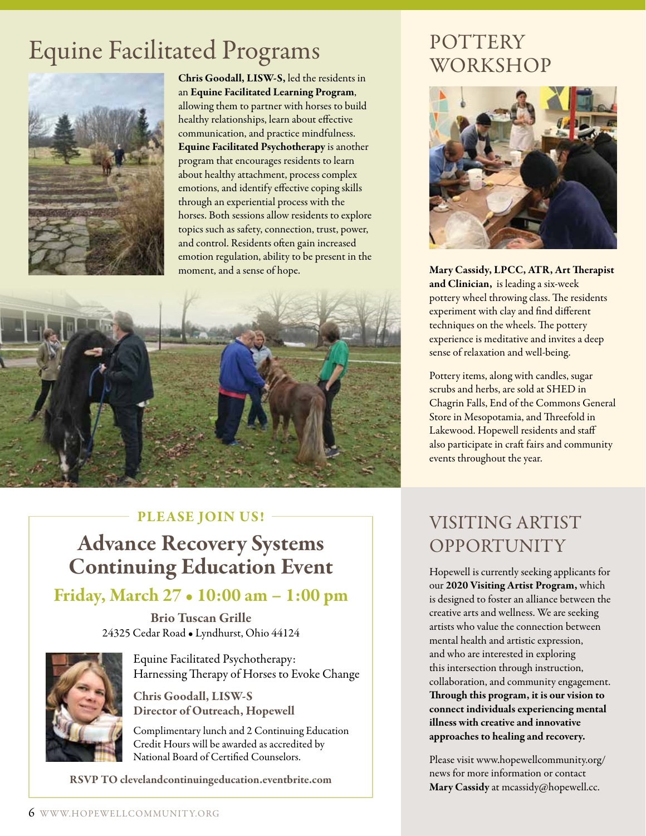## Equine Facilitated Programs



Chris Goodall, LISW-S, led the residents in an Equine Facilitated Learning Program, allowing them to partner with horses to build healthy relationships, learn about effective communication, and practice mindfulness. Equine Facilitated Psychotherapy is another program that encourages residents to learn about healthy attachment, process complex emotions, and identify effective coping skills through an experiential process with the horses. Both sessions allow residents to explore topics such as safety, connection, trust, power, and control. Residents often gain increased emotion regulation, ability to be present in the moment, and a sense of hope.



### PLEASE JOIN US! -

Advance Recovery Systems Continuing Education Event

## Friday, March 27 • 10:00 am – 1:00 pm

Brio Tuscan Grille 24325 Cedar Road • Lyndhurst, Ohio 44124

Equine Facilitated Psychotherapy: Harnessing Therapy of Horses to Evoke Change

Chris Goodall, LISW-S Director of Outreach, Hopewell

Complimentary lunch and 2 Continuing Education Credit Hours will be awarded as accredited by National Board of Certified Counselors.

RSVP TO clevelandcontinuingeducation.eventbrite.com

## POTTERY WORKSHOP



Mary Cassidy, LPCC, ATR, Art Therapist and Clinician, is leading a six-week pottery wheel throwing class. The residents experiment with clay and find different techniques on the wheels. The pottery experience is meditative and invites a deep sense of relaxation and well-being.

Pottery items, along with candles, sugar scrubs and herbs, are sold at SHED in Chagrin Falls, End of the Commons General Store in Mesopotamia, and Threefold in Lakewood. Hopewell residents and staff also participate in craft fairs and community events throughout the year.

## VISITING ARTIST OPPORTUNITY

Hopewell is currently seeking applicants for our 2020 Visiting Artist Program, which is designed to foster an alliance between the creative arts and wellness. We are seeking artists who value the connection between mental health and artistic expression, and who are interested in exploring this intersection through instruction, collaboration, and community engagement. Through this program, it is our vision to connect individuals experiencing mental illness with creative and innovative approaches to healing and recovery.

Please visit www.hopewellcommunity.org/ news for more information or contact Mary Cassidy at mcassidy@hopewell.cc.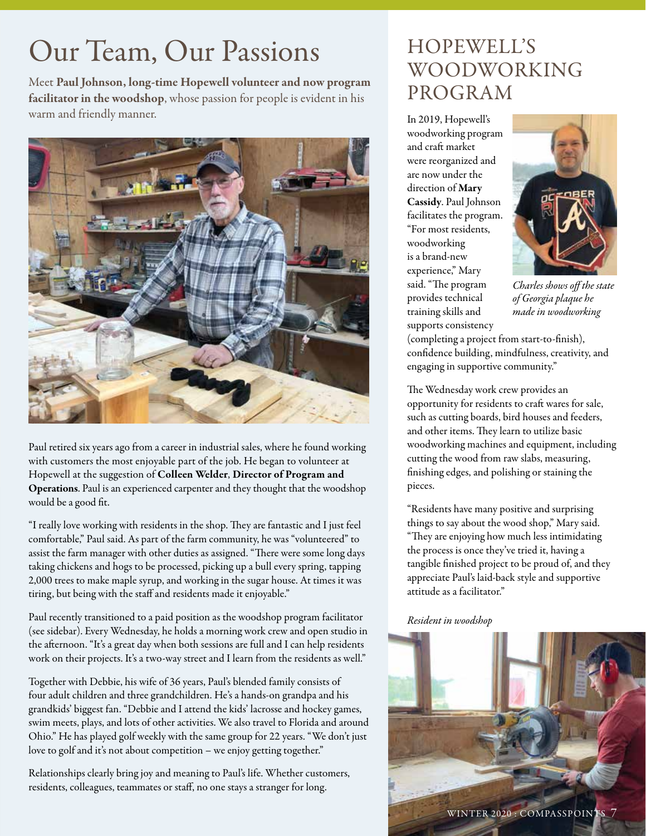## Our Team, Our Passions

Meet Paul Johnson, long-time Hopewell volunteer and now program facilitator in the woodshop, whose passion for people is evident in his warm and friendly manner.



Paul retired six years ago from a career in industrial sales, where he found working with customers the most enjoyable part of the job. He began to volunteer at Hopewell at the suggestion of Colleen Welder, Director of Program and Operations. Paul is an experienced carpenter and they thought that the woodshop would be a good fit.

"I really love working with residents in the shop. They are fantastic and I just feel comfortable," Paul said. As part of the farm community, he was "volunteered" to assist the farm manager with other duties as assigned. "There were some long days taking chickens and hogs to be processed, picking up a bull every spring, tapping 2,000 trees to make maple syrup, and working in the sugar house. At times it was tiring, but being with the staff and residents made it enjoyable."

Paul recently transitioned to a paid position as the woodshop program facilitator (see sidebar). Every Wednesday, he holds a morning work crew and open studio in the afternoon. "It's a great day when both sessions are full and I can help residents work on their projects. It's a two-way street and I learn from the residents as well."

Together with Debbie, his wife of 36 years, Paul's blended family consists of four adult children and three grandchildren. He's a hands-on grandpa and his grandkids' biggest fan. "Debbie and I attend the kids' lacrosse and hockey games, swim meets, plays, and lots of other activities. We also travel to Florida and around Ohio." He has played golf weekly with the same group for 22 years. "We don't just love to golf and it's not about competition – we enjoy getting together."

Relationships clearly bring joy and meaning to Paul's life. Whether customers, residents, colleagues, teammates or staff, no one stays a stranger for long.

## HOPEWELL'S WOODWORKING PROGRAM

In 2019, Hopewell's woodworking program and craft market were reorganized and are now under the direction of Mary Cassidy. Paul Johnson facilitates the program. "For most residents, woodworking is a brand-new experience," Mary said. "The program provides technical training skills and supports consistency



*Charles shows off the state of Georgia plaque he made in woodworking*

(completing a project from start-to-finish), confidence building, mindfulness, creativity, and engaging in supportive community."

The Wednesday work crew provides an opportunity for residents to craft wares for sale, such as cutting boards, bird houses and feeders, and other items. They learn to utilize basic woodworking machines and equipment, including cutting the wood from raw slabs, measuring, finishing edges, and polishing or staining the pieces.

"Residents have many positive and surprising things to say about the wood shop," Mary said. "They are enjoying how much less intimidating the process is once they've tried it, having a tangible finished project to be proud of, and they appreciate Paul's laid-back style and supportive attitude as a facilitator."

#### *Resident in woodshop*